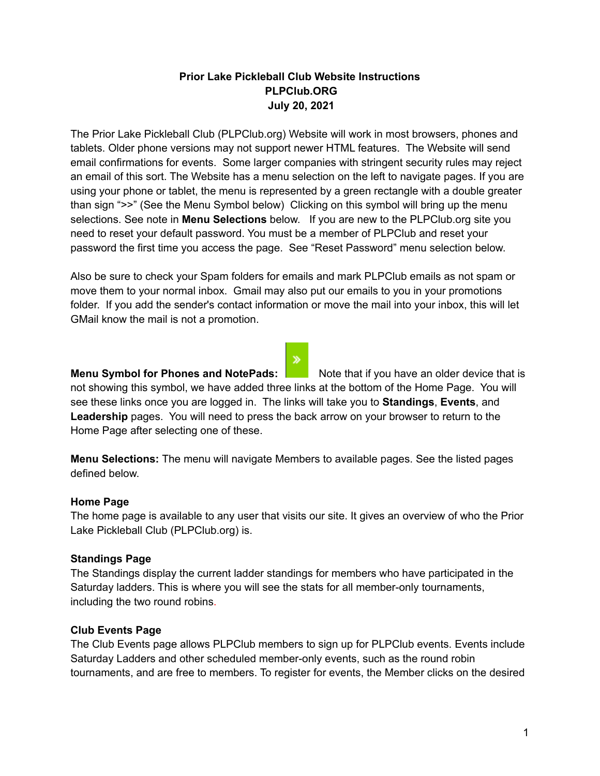# **Prior Lake Pickleball Club Website Instructions PLPClub.ORG July 20, 2021**

The Prior Lake Pickleball Club (PLPClub.org) Website will work in most browsers, phones and tablets. Older phone versions may not support newer HTML features. The Website will send email confirmations for events. Some larger companies with stringent security rules may reject an email of this sort. The Website has a menu selection on the left to navigate pages. If you are using your phone or tablet, the menu is represented by a green rectangle with a double greater than sign ">>" (See the Menu Symbol below) Clicking on this symbol will bring up the menu selections. See note in **Menu Selections** below. If you are new to the PLPClub.org site you need to reset your default password. You must be a member of PLPClub and reset your password the first time you access the page. See "Reset Password" menu selection below.

Also be sure to check your Spam folders for emails and mark PLPClub emails as not spam or move them to your normal inbox. Gmail may also put our emails to you in your promotions folder. If you add the sender's contact information or move the mail into your inbox, this will let GMail know the mail is not a promotion.

## **Menu Symbol for Phones and NotePads:** Note that if you have an older device that is

not showing this symbol, we have added three links at the bottom of the Home Page. You will see these links once you are logged in. The links will take you to **Standings**, **Events**, and **Leadership** pages. You will need to press the back arrow on your browser to return to the Home Page after selecting one of these.

**Menu Selections:** The menu will navigate Members to available pages. See the listed pages defined below.

## **Home Page**

The home page is available to any user that visits our site. It gives an overview of who the Prior Lake Pickleball Club (PLPClub.org) is.

## **Standings Page**

The Standings display the current ladder standings for members who have participated in the Saturday ladders. This is where you will see the stats for all member-only tournaments, including the two round robins.

## **Club Events Page**

The Club Events page allows PLPClub members to sign up for PLPClub events. Events include Saturday Ladders and other scheduled member-only events, such as the round robin tournaments, and are free to members. To register for events, the Member clicks on the desired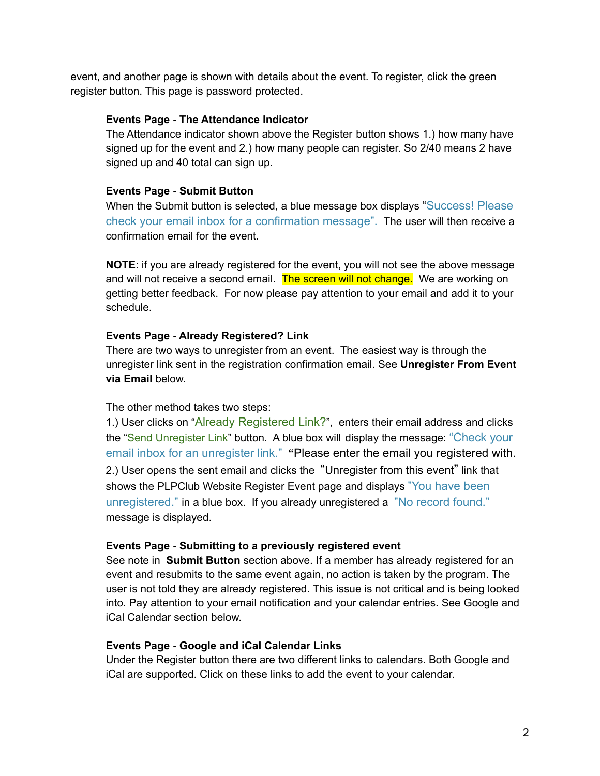event, and another page is shown with details about the event. To register, click the green register button. This page is password protected.

## **Events Page - The Attendance Indicator**

The Attendance indicator shown above the Register button shows 1.) how many have signed up for the event and 2.) how many people can register. So 2/40 means 2 have signed up and 40 total can sign up.

## **Events Page - Submit Button**

When the Submit button is selected, a blue message box displays "Success! Please check your email inbox for a confirmation message". The user will then receive a confirmation email for the event.

**NOTE**: if you are already registered for the event, you will not see the above message and will not receive a second email. The screen will not change. We are working on getting better feedback. For now please pay attention to your email and add it to your schedule.

## **Events Page - Already Registered? Link**

There are two ways to unregister from an event. The easiest way is through the unregister link sent in the registration confirmation email. See **Unregister From Event via Email** below.

## The other method takes two steps:

1.) User clicks on "Already Registered Link?", enters their email address and clicks the "Send Unregister Link" button. A blue box will display the message: "Check your email inbox for an unregister link." **"**Please enter the email you registered with. 2.) User opens the sent email and clicks the "Unregister from this event" link that shows the PLPClub Website Register Event page and displays "You have been unregistered." in a blue box. If you already unregistered a "No record found." message is displayed.

## **Events Page - Submitting to a previously registered event**

See note in **Submit Button** section above. If a member has already registered for an event and resubmits to the same event again, no action is taken by the program. The user is not told they are already registered. This issue is not critical and is being looked into. Pay attention to your email notification and your calendar entries. See Google and iCal Calendar section below.

## **Events Page - Google and iCal Calendar Links**

Under the Register button there are two different links to calendars. Both Google and iCal are supported. Click on these links to add the event to your calendar.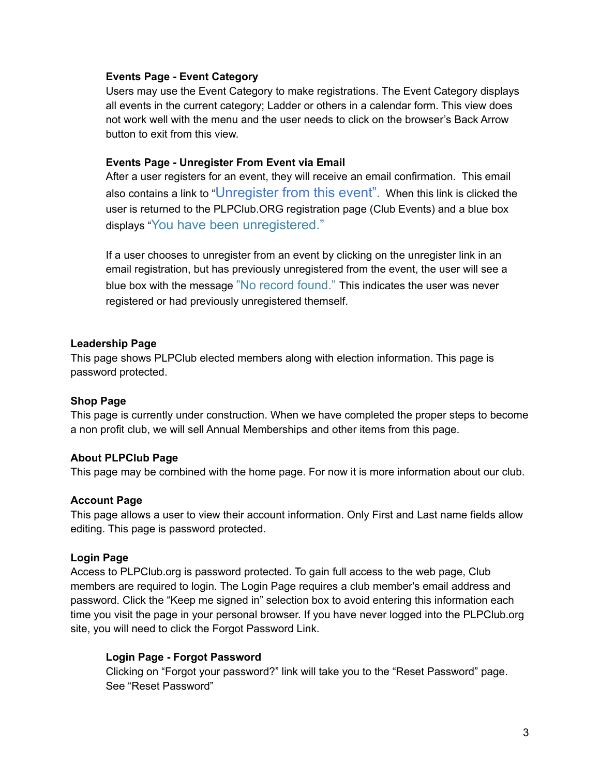### **Events Page - Event Category**

Users may use the Event Category to make registrations. The Event Category displays all events in the current category; Ladder or others in a calendar form. This view does not work well with the menu and the user needs to click on the browser's Back Arrow button to exit from this view.

### **Events Page - Unregister From Event via Email**

After a user registers for an event, they will receive an email confirmation. This email also contains a link to "Unregister from this event"**.**t When this link is clicked the user is returned to the PLPClub.ORG registration page (Club Events) and a blue box displays "You have been unregistered."

If a user chooses to unregister from an event by clicking on the unregister link in an email registration, but has previously unregistered from the event, the user will see a blue box with the message "No record found." This indicates the user was never registered or had previously unregistered themself.

#### **Leadership Page**

This page shows PLPClub elected members along with election information. This page is password protected.

## **Shop Page**

This page is currently under construction. When we have completed the proper steps to become a non profit club, we will sell Annual Memberships and other items from this page.

## **About PLPClub Page**

This page may be combined with the home page. For now it is more information about our club.

## **Account Page**

This page allows a user to view their account information. Only First and Last name fields allow editing. This page is password protected.

#### **Login Page**

Access to PLPClub.org is password protected. To gain full access to the web page, Club members are required to login. The Login Page requires a club member's email address and password. Click the "Keep me signed in" selection box to avoid entering this information each time you visit the page in your personal browser. If you have never logged into the PLPClub.org site, you will need to click the Forgot Password Link.

## **Login Page - Forgot Password**

Clicking on "Forgot your password?" link will take you to the "Reset Password" page. See "Reset Password"